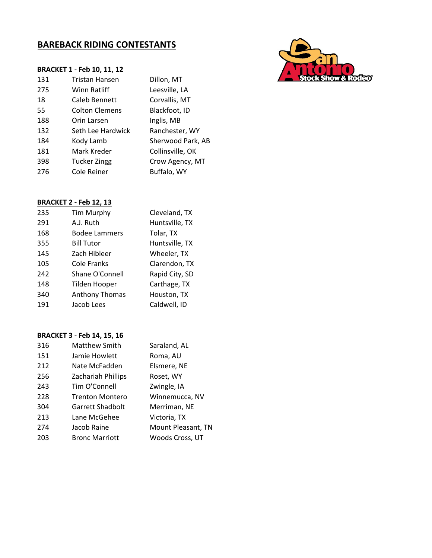# **BAREBACK RIDING CONTESTANTS**

|     | <b>BRACKET 1 - Feb 10, 11, 12</b> |                   |
|-----|-----------------------------------|-------------------|
| 131 | Tristan Hansen                    | Dillon, MT        |
| 275 | Winn Ratliff                      | Leesville, LA     |
| 18  | Caleb Bennett                     | Corvallis, MT     |
| 55  | Colton Clemens                    | Blackfoot, ID     |
| 188 | Orin Larsen                       | Inglis, MB        |
| 132 | Seth Lee Hardwick                 | Ranchester, WY    |
| 184 | Kody Lamb                         | Sherwood Park, AB |
| 181 | Mark Kreder                       | Collinsville, OK  |
| 398 | <b>Tucker Zingg</b>               | Crow Agency, MT   |
| 276 | Cole Reiner                       | Buffalo, WY       |
|     |                                   |                   |

#### **BRACKET 2 - Feb 12, 13**

| 235 | Tim Murphy            | Cleveland, TX  |
|-----|-----------------------|----------------|
|     |                       |                |
| 291 | A.J. Ruth             | Huntsville, TX |
| 168 | <b>Bodee Lammers</b>  | Tolar, TX      |
| 355 | <b>Bill Tutor</b>     | Huntsville, TX |
| 145 | Zach Hibleer          | Wheeler, TX    |
| 105 | Cole Franks           | Clarendon, TX  |
| 242 | Shane O'Connell       | Rapid City, SD |
| 148 | <b>Tilden Hooper</b>  | Carthage, TX   |
| 340 | <b>Anthony Thomas</b> | Houston, TX    |
| 191 | Jacob Lees            | Caldwell, ID   |

| 316 | <b>Matthew Smith</b>   | Saraland, AL       |
|-----|------------------------|--------------------|
| 151 | Jamie Howlett          | Roma, AU           |
| 212 | Nate McFadden          | Elsmere, NE        |
| 256 | Zachariah Phillips     | Roset, WY          |
| 243 | Tim O'Connell          | Zwingle, IA        |
| 228 | <b>Trenton Montero</b> | Winnemucca, NV     |
| 304 | Garrett Shadbolt       | Merriman, NE       |
| 213 | Lane McGehee           | Victoria, TX       |
| 274 | Jacob Raine            | Mount Pleasant, TN |
| 203 | <b>Bronc Marriott</b>  | Woods Cross, UT    |

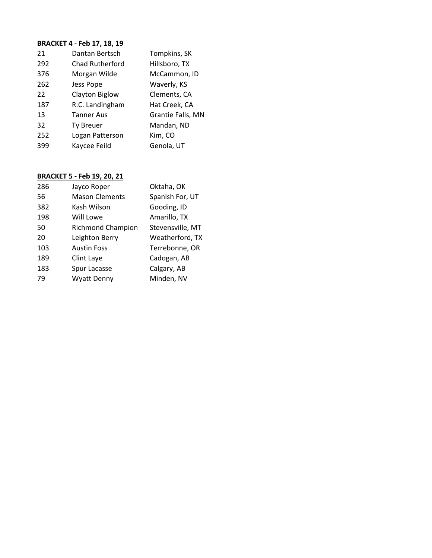| 21  | Dantan Bertsch         | Tompkins, SK      |
|-----|------------------------|-------------------|
| 292 | <b>Chad Rutherford</b> | Hillsboro, TX     |
| 376 | Morgan Wilde           | McCammon, ID      |
| 262 | Jess Pope              | Waverly, KS       |
| 22  | Clayton Biglow         | Clements, CA      |
| 187 | R.C. Landingham        | Hat Creek, CA     |
| 13  | <b>Tanner Aus</b>      | Grantie Falls, MN |
| 32  | <b>Ty Breuer</b>       | Mandan, ND        |
| 252 | Logan Patterson        | Kim, CO           |
| 399 | Kaycee Feild           | Genola, UT        |

| 286 | Jayco Roper              | Oktaha, OK       |
|-----|--------------------------|------------------|
| 56  | <b>Mason Clements</b>    | Spanish For, UT  |
| 382 | Kash Wilson              | Gooding, ID      |
| 198 | Will Lowe                | Amarillo, TX     |
| 50  | <b>Richmond Champion</b> | Stevensville, MT |
| 20  | Leighton Berry           | Weatherford, TX  |
| 103 | <b>Austin Foss</b>       | Terrebonne, OR   |
| 189 | Clint Laye               | Cadogan, AB      |
| 183 | Spur Lacasse             | Calgary, AB      |
| 79  | <b>Wyatt Denny</b>       | Minden, NV       |
|     |                          |                  |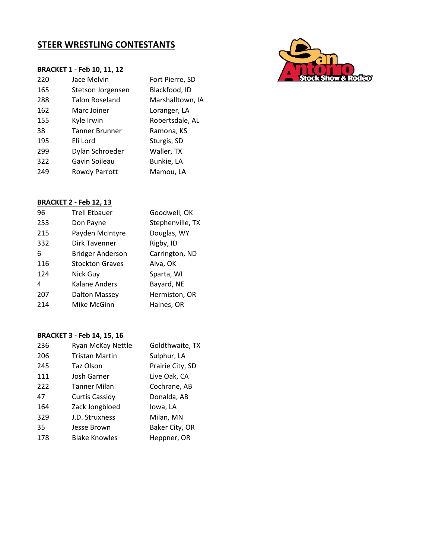# **STEER WRESTLING CONTESTANTS**

#### **BRACKET 1 - Feb 10, 11, 12**

| 220 | Jace Melvin           | Fort Pierre, SD  |
|-----|-----------------------|------------------|
| 165 | Stetson Jorgensen     | Blackfood, ID    |
| 288 | <b>Talon Roseland</b> | Marshalltown, IA |
| 162 | Marc Joiner           | Loranger, LA     |
| 155 | Kyle Irwin            | Robertsdale, AL  |
| 38  | <b>Tanner Brunner</b> | Ramona, KS       |
| 195 | Eli Lord              | Sturgis, SD      |
| 299 | Dylan Schroeder       | Waller, TX       |
| 322 | Gavin Soileau         | Bunkie, LA       |
| 249 | Rowdy Parrott         | Mamou, LA        |
|     |                       |                  |

## **BRACKET 2 - Feb 12, 13**

| 96  | <b>Trell Etbauer</b>    | Goodwell, OK     |
|-----|-------------------------|------------------|
| 253 | Don Payne               | Stephenville, TX |
| 215 | Payden McIntyre         | Douglas, WY      |
| 332 | Dirk Tavenner           | Rigby, ID        |
| 6   | <b>Bridger Anderson</b> | Carrington, ND   |
| 116 | <b>Stockton Graves</b>  | Alva, OK         |
| 124 | Nick Guy                | Sparta, WI       |
| 4   | Kalane Anders           | Bayard, NE       |
| 207 | <b>Dalton Massey</b>    | Hermiston, OR    |
| 214 | Mike McGinn             | Haines, OR       |
|     |                         |                  |

| 236 | Ryan McKay Nettle     | Goldthwaite, TX  |
|-----|-----------------------|------------------|
| 206 | <b>Tristan Martin</b> | Sulphur, LA      |
| 245 | Taz Olson             | Prairie City, SD |
| 111 | Josh Garner           | Live Oak, CA     |
| 222 | Tanner Milan          | Cochrane, AB     |
| 47  | Curtis Cassidy        | Donalda, AB      |
| 164 | Zack Jongbloed        | Iowa, LA         |
| 329 | J.D. Struxness        | Milan, MN        |
| 35  | Jesse Brown           | Baker City, OR   |
| 178 | <b>Blake Knowles</b>  | Heppner, OR      |

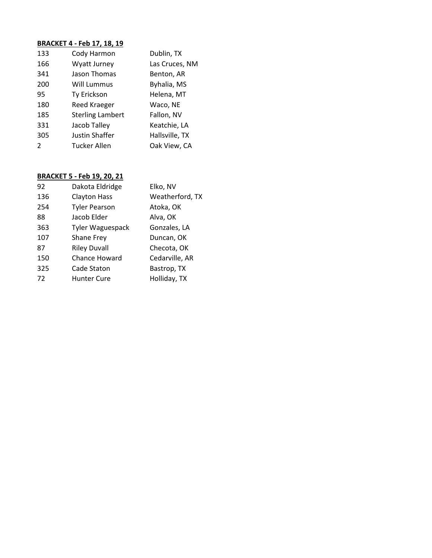| 133           | Cody Harmon             | Dublin, TX     |
|---------------|-------------------------|----------------|
| 166           | Wyatt Jurney            | Las Cruces, NM |
| 341           | Jason Thomas            | Benton, AR     |
| 200           | Will Lummus             | Byhalia, MS    |
| 95            | Ty Erickson             | Helena, MT     |
| 180           | Reed Kraeger            | Waco, NE       |
| 185           | <b>Sterling Lambert</b> | Fallon, NV     |
| 331           | Jacob Talley            | Keatchie, LA   |
| 305           | Justin Shaffer          | Hallsville, TX |
| $\mathcal{L}$ | Tucker Allen            | Oak View, CA   |
|               |                         |                |

| 92  | Dakota Eldridge         | Elko, NV        |
|-----|-------------------------|-----------------|
| 136 | <b>Clayton Hass</b>     | Weatherford, TX |
| 254 | <b>Tyler Pearson</b>    | Atoka, OK       |
| 88  | Jacob Elder             | Alva, OK        |
| 363 | <b>Tyler Waguespack</b> | Gonzales, LA    |
| 107 | Shane Frey              | Duncan, OK      |
| 87  | <b>Riley Duvall</b>     | Checota, OK     |
| 150 | <b>Chance Howard</b>    | Cedarville, AR  |
| 325 | Cade Staton             | Bastrop, TX     |
| 72  | <b>Hunter Cure</b>      | Holliday, TX    |
|     |                         |                 |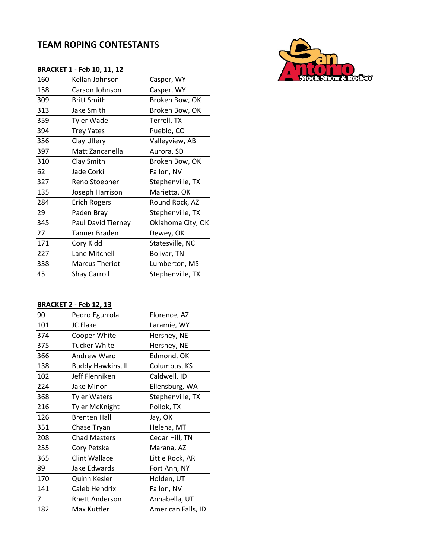# **TEAM ROPING CONTESTANTS**

|     | <b>BRACKET 1 - Feb 10, 11, 12</b> |                   |
|-----|-----------------------------------|-------------------|
| 160 | Kellan Johnson                    | Casper, WY        |
| 158 | Carson Johnson                    | Casper, WY        |
| 309 | <b>Britt Smith</b>                | Broken Bow, OK    |
| 313 | Jake Smith                        | Broken Bow, OK    |
| 359 | <b>Tyler Wade</b>                 | Terrell, TX       |
| 394 | <b>Trey Yates</b>                 | Pueblo, CO        |
| 356 | Clay Ullery                       | Valleyview, AB    |
| 397 | Matt Zancanella                   | Aurora, SD        |
| 310 | Clay Smith                        | Broken Bow, OK    |
| 62  | Jade Corkill                      | Fallon, NV        |
| 327 | Reno Stoebner                     | Stephenville, TX  |
| 135 | Joseph Harrison                   | Marietta, OK      |
| 284 | <b>Erich Rogers</b>               | Round Rock, AZ    |
| 29  | Paden Bray                        | Stephenville, TX  |
| 345 | Paul David Tierney                | Oklahoma City, OK |
| 27  | Tanner Braden                     | Dewey, OK         |
| 171 | Cory Kidd                         | Statesville, NC   |
| 227 | Lane Mitchell                     | Bolivar, TN       |
| 338 | <b>Marcus Theriot</b>             | Lumberton, MS     |
| 45  | <b>Shay Carroll</b>               | Stephenville, TX  |

### **BRACKET 2 - Feb 12, 13**

| 90  | Pedro Egurrola           | Florence, AZ     |
|-----|--------------------------|------------------|
| 101 | <b>JC Flake</b>          | Laramie, WY      |
| 374 | Cooper White             | Hershey, NE      |
| 375 | Tucker White             | Hershey, NE      |
| 366 | Andrew Ward              | Edmond, OK       |
| 138 | <b>Buddy Hawkins, II</b> | Columbus, KS     |
| 102 | Jeff Flenniken           | Caldwell, ID     |
| 224 | Jake Minor               | Ellensburg, WA   |
| 368 | <b>Tyler Waters</b>      | Stephenville, TX |
| 216 | <b>Tyler McKnight</b>    | Pollok, TX       |
|     |                          |                  |
| 126 | <b>Brenten Hall</b>      | Jay, OK          |
| 351 | Chase Tryan              | Helena, MT       |
| 208 | <b>Chad Masters</b>      | Cedar Hill, TN   |
| 255 | Cory Petska              | Marana, AZ       |
| 365 | Clint Wallace            | Little Rock, AR  |
| 89  | Jake Edwards             | Fort Ann, NY     |
| 170 | Quinn Kesler             | Holden, UT       |
| 141 | Caleb Hendrix            | Fallon, NV       |
| 7   | <b>Rhett Anderson</b>    | Annabella, UT    |

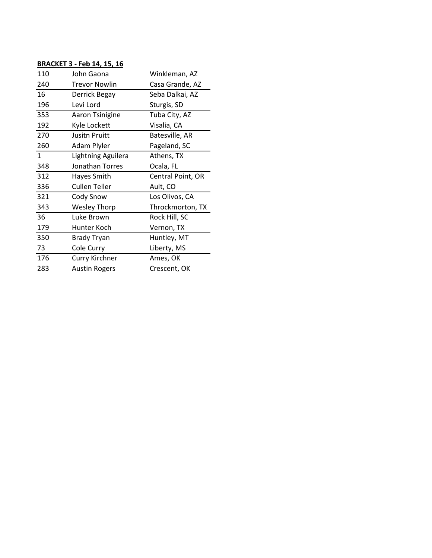| 110          | John Gaona             | Winkleman, AZ     |
|--------------|------------------------|-------------------|
| 240          | <b>Trevor Nowlin</b>   | Casa Grande, AZ   |
| 16           | Derrick Begay          | Seba Dalkai, AZ   |
| 196          | Levi Lord              | Sturgis, SD       |
| 353          | Aaron Tsinigine        | Tuba City, AZ     |
| 192          | Kyle Lockett           | Visalia, CA       |
| 270          | <b>Jusitn Pruitt</b>   | Batesville, AR    |
| 260          | Adam Plyler            | Pageland, SC      |
| $\mathbf{1}$ | Lightning Aguilera     | Athens, TX        |
| 348          | <b>Jonathan Torres</b> | Ocala, FL         |
|              |                        |                   |
| 312          | Hayes Smith            | Central Point, OR |
| 336          | <b>Cullen Teller</b>   | Ault, CO          |
| 321          | Cody Snow              | Los Olivos, CA    |
| 343          | <b>Wesley Thorp</b>    | Throckmorton, TX  |
| 36           | Luke Brown             | Rock Hill, SC     |
| 179          | Hunter Koch            | Vernon, TX        |
| 350          | <b>Brady Tryan</b>     | Huntley, MT       |
| 73           | Cole Curry             | Liberty, MS       |
| 176          | Curry Kirchner         | Ames, OK          |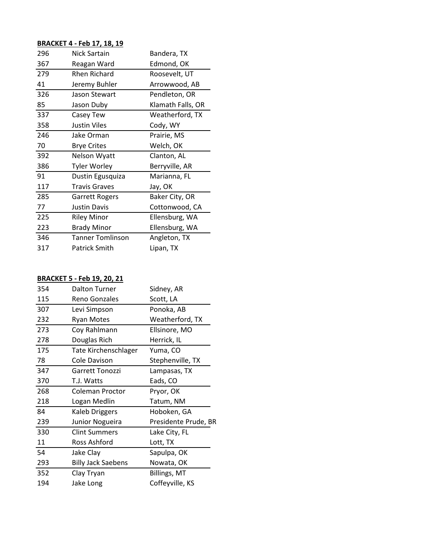| 296 | Nick Sartain            | Bandera, TX       |
|-----|-------------------------|-------------------|
| 367 | Reagan Ward             | Edmond, OK        |
| 279 | <b>Rhen Richard</b>     | Roosevelt, UT     |
| 41  | Jeremy Buhler           | Arrowwood, AB     |
| 326 | Jason Stewart           | Pendleton, OR     |
| 85  | Jason Duby              | Klamath Falls, OR |
| 337 | Casey Tew               | Weatherford, TX   |
| 358 | Justin Viles            | Cody, WY          |
| 246 | Jake Orman              | Prairie, MS       |
| 70  | <b>Brye Crites</b>      | Welch, OK         |
| 392 | Nelson Wyatt            | Clanton, AL       |
| 386 | <b>Tyler Worley</b>     | Berryville, AR    |
| 91  | Dustin Egusquiza        | Marianna, FL      |
| 117 | <b>Travis Graves</b>    | Jay, OK           |
| 285 | <b>Garrett Rogers</b>   | Baker City, OR    |
| 77  | <b>Justin Davis</b>     | Cottonwood, CA    |
| 225 | <b>Riley Minor</b>      | Ellensburg, WA    |
| 223 | <b>Brady Minor</b>      | Ellensburg, WA    |
| 346 | <b>Tanner Tomlinson</b> | Angleton, TX      |
| 317 | <b>Patrick Smith</b>    | Lipan, TX         |

| 354 | <b>Dalton Turner</b>        | Sidney, AR           |
|-----|-----------------------------|----------------------|
| 115 | Reno Gonzales               | Scott, LA            |
| 307 | Levi Simpson                | Ponoka, AB           |
| 232 | <b>Ryan Motes</b>           | Weatherford, TX      |
| 273 | Coy Rahlmann                | Ellsinore, MO        |
| 278 | Douglas Rich                | Herrick, IL          |
| 175 | <b>Tate Kirchenschlager</b> | Yuma, CO             |
| 78  | Cole Davison                | Stephenville, TX     |
| 347 | Garrett Tonozzi             | Lampasas, TX         |
| 370 | T.J. Watts                  | Eads, CO             |
| 268 | Coleman Proctor             | Pryor, OK            |
| 218 | Logan Medlin                | Tatum, NM            |
| 84  | <b>Kaleb Driggers</b>       | Hoboken, GA          |
| 239 | Junior Nogueira             | Presidente Prude, BR |
| 330 | <b>Clint Summers</b>        | Lake City, FL        |
| 11  | Ross Ashford                | Lott, TX             |
| 54  | Jake Clay                   | Sapulpa, OK          |
| 293 | <b>Billy Jack Saebens</b>   | Nowata, OK           |
| 352 | Clay Tryan                  | Billings, MT         |
| 194 | Jake Long                   | Coffeyville, KS      |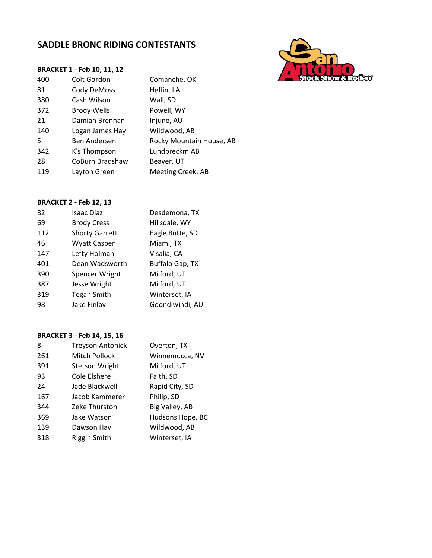# **SADDLE BRONC RIDING CONTESTANTS**

### **BRACKET 1 - Feb 10, 11, 12**

| 400 | Colt Gordon        | Comanche, OK             |
|-----|--------------------|--------------------------|
| 81  | Cody DeMoss        | Heflin, LA               |
| 380 | Cash Wilson        | Wall, SD                 |
| 372 | <b>Brody Wells</b> | Powell, WY               |
| 21  | Damian Brennan     | Injune, AU               |
| 140 | Logan James Hay    | Wildwood, AB             |
| 5   | Ben Andersen       | Rocky Mountain House, AB |
| 342 | K's Thompson       | Lundbreckm AB            |
| 28  | CoBurn Bradshaw    | Beaver, UT               |
| 119 | Layton Green       | Meeting Creek, AB        |

## **BRACKET 2 - Feb 12, 13**

| 82  | <b>Isaac Diaz</b>     | Desdemona, TX   |
|-----|-----------------------|-----------------|
| 69  | <b>Brody Cress</b>    | Hillsdale, WY   |
| 112 | <b>Shorty Garrett</b> | Eagle Butte, SD |
| 46  | <b>Wyatt Casper</b>   | Miami, TX       |
| 147 | Lefty Holman          | Visalia, CA     |
| 401 | Dean Wadsworth        | Buffalo Gap, TX |
| 390 | Spencer Wright        | Milford, UT     |
| 387 | Jesse Wright          | Milford, UT     |
| 319 | <b>Tegan Smith</b>    | Winterset, IA   |
| 98  | Jake Finlay           | Goondiwindi, AU |
|     |                       |                 |

| 8   | <b>Treyson Antonick</b> | Overton, TX      |
|-----|-------------------------|------------------|
| 261 | Mitch Pollock           | Winnemucca, NV   |
| 391 | <b>Stetson Wright</b>   | Milford, UT      |
| 93  | Cole Elshere            | Faith, SD        |
| 24  | Jade Blackwell          | Rapid City, SD   |
| 167 | Jacob Kammerer          | Philip, SD       |
| 344 | <b>Zeke Thurston</b>    | Big Valley, AB   |
| 369 | Jake Watson             | Hudsons Hope, BC |
| 139 | Dawson Hay              | Wildwood, AB     |
| 318 | Riggin Smith            | Winterset, IA    |

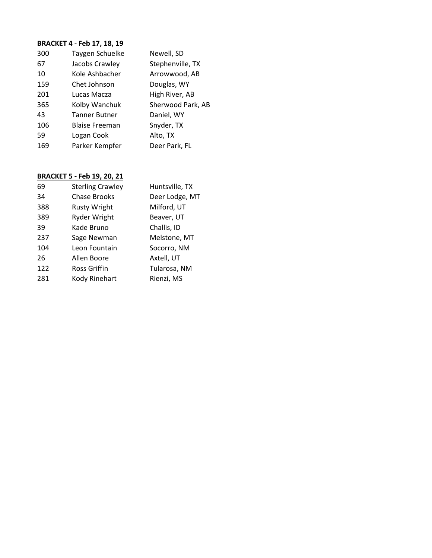| 300 | Taygen Schuelke       | Newell, SD        |
|-----|-----------------------|-------------------|
| 67  | Jacobs Crawley        | Stephenville, TX  |
| 10  | Kole Ashbacher        | Arrowwood, AB     |
| 159 | Chet Johnson          | Douglas, WY       |
| 201 | Lucas Macza           | High River, AB    |
| 365 | Kolby Wanchuk         | Sherwood Park, AB |
| 43  | <b>Tanner Butner</b>  | Daniel, WY        |
| 106 | <b>Blaise Freeman</b> | Snyder, TX        |
| 59  | Logan Cook            | Alto, TX          |
| 169 | Parker Kempfer        | Deer Park, FL     |
|     |                       |                   |

| 69  | <b>Sterling Crawley</b> | Huntsville, TX |
|-----|-------------------------|----------------|
| 34  | <b>Chase Brooks</b>     | Deer Lodge, MT |
| 388 | <b>Rusty Wright</b>     | Milford, UT    |
| 389 | <b>Ryder Wright</b>     | Beaver, UT     |
| 39  | Kade Bruno              | Challis, ID    |
| 237 | Sage Newman             | Melstone, MT   |
| 104 | Leon Fountain           | Socorro, NM    |
| 26  | Allen Boore             | Axtell, UT     |
| 122 | Ross Griffin            | Tularosa, NM   |
| 281 | Kody Rinehart           | Rienzi, MS     |
|     |                         |                |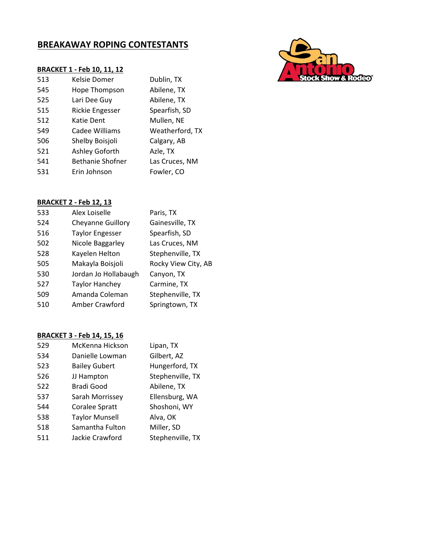# **BREAKAWAY ROPING CONTESTANTS**

#### **BRACKET 1 - Feb 10, 11, 12**

| 513 | Kelsie Domer            | Dublin, TX      |
|-----|-------------------------|-----------------|
| 545 | Hope Thompson           | Abilene, TX     |
| 525 | Lari Dee Guy            | Abilene, TX     |
| 515 | <b>Rickie Engesser</b>  | Spearfish, SD   |
| 512 | Katie Dent              | Mullen, NE      |
| 549 | Cadee Williams          | Weatherford, TX |
| 506 | Shelby Boisjoli         | Calgary, AB     |
| 521 | Ashley Goforth          | Azle, TX        |
| 541 | <b>Bethanie Shofner</b> | Las Cruces, NM  |
| 531 | Erin Johnson            | Fowler, CO      |
|     |                         |                 |

## **BRACKET 2 - Feb 12, 13**

| 533 | Alex Loiselle            | Paris, TX           |
|-----|--------------------------|---------------------|
| 524 | <b>Cheyanne Guillory</b> | Gainesville, TX     |
| 516 | <b>Taylor Engesser</b>   | Spearfish, SD       |
| 502 | Nicole Baggarley         | Las Cruces, NM      |
| 528 | Kayelen Helton           | Stephenville, TX    |
| 505 | Makayla Boisjoli         | Rocky View City, AB |
| 530 | Jordan Jo Hollabaugh     | Canyon, TX          |
| 527 | <b>Taylor Hanchey</b>    | Carmine, TX         |
| 509 | Amanda Coleman           | Stephenville, TX    |
| 510 | Amber Crawford           | Springtown, TX      |
|     |                          |                     |

| 529 | McKenna Hickson       | Lipan, TX        |
|-----|-----------------------|------------------|
| 534 | Danielle Lowman       | Gilbert, AZ      |
| 523 | <b>Bailey Gubert</b>  | Hungerford, TX   |
| 526 | JJ Hampton            | Stephenville, TX |
| 522 | Bradi Good            | Abilene, TX      |
| 537 | Sarah Morrissey       | Ellensburg, WA   |
| 544 | Coralee Spratt        | Shoshoni, WY     |
| 538 | <b>Taylor Munsell</b> | Alva, OK         |
| 518 | Samantha Fulton       | Miller, SD       |
| 511 | Jackie Crawford       | Stephenville, TX |

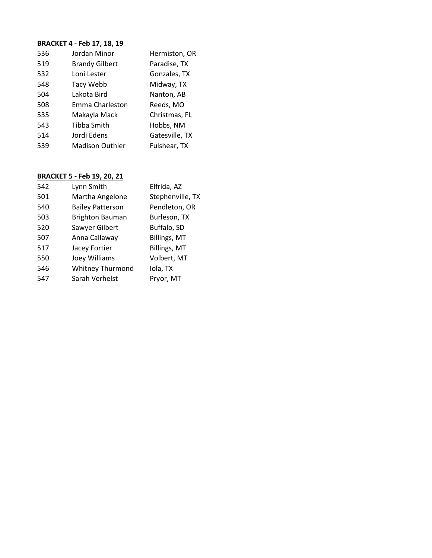| 536 | Jordan Minor           | Hermiston, OR  |
|-----|------------------------|----------------|
| 519 | <b>Brandy Gilbert</b>  | Paradise, TX   |
| 532 | Loni Lester            | Gonzales, TX   |
| 548 | Tacy Webb              | Midway, TX     |
| 504 | Lakota Bird            | Nanton, AB     |
| 508 | Emma Charleston        | Reeds, MO      |
| 535 | Makayla Mack           | Christmas, FL  |
| 543 | Tibba Smith            | Hobbs, NM      |
| 514 | Jordi Edens            | Gatesville, TX |
| 539 | <b>Madison Outhier</b> | Fulshear, TX   |
|     |                        |                |

| 542 | Lynn Smith              | Elfrida, AZ         |
|-----|-------------------------|---------------------|
| 501 | Martha Angelone         | Stephenville, TX    |
| 540 | <b>Bailey Patterson</b> | Pendleton, OR       |
| 503 | <b>Brighton Bauman</b>  | Burleson, TX        |
| 520 | Sawyer Gilbert          | Buffalo, SD         |
| 507 | Anna Callaway           | <b>Billings, MT</b> |
| 517 | Jacey Fortier           | <b>Billings, MT</b> |
| 550 | Joey Williams           | Volbert, MT         |
| 546 | <b>Whitney Thurmond</b> | Iola, TX            |
| 547 | Sarah Verhelst          | Pryor, MT           |
|     |                         |                     |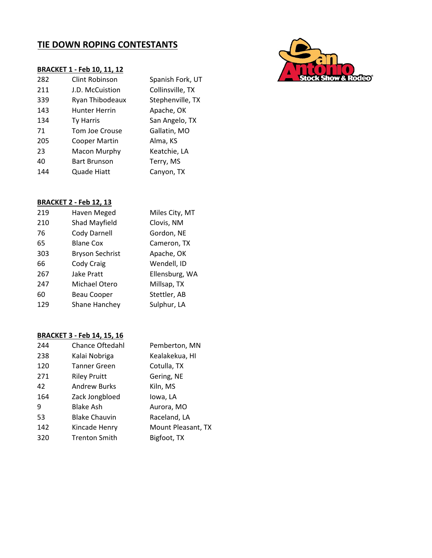# **TIE DOWN ROPING CONTESTANTS**

|     | <b>BRACKET 1 - Feb 10, 11, 12</b> |                  |
|-----|-----------------------------------|------------------|
| 282 | Clint Robinson                    | Spanish Fork, UT |
| 211 | <b>J.D. McCuistion</b>            | Collinsville, TX |
| 339 | Ryan Thibodeaux                   | Stephenville, TX |
| 143 | <b>Hunter Herrin</b>              | Apache, OK       |
| 134 | Ty Harris                         | San Angelo, TX   |
| 71  | Tom Joe Crouse                    | Gallatin, MO     |
| 205 | <b>Cooper Martin</b>              | Alma, KS         |
| 23  | Macon Murphy                      | Keatchie, LA     |
| 40  | <b>Bart Brunson</b>               | Terry, MS        |
| 144 | Quade Hiatt                       | Canyon, TX       |
|     |                                   |                  |

### **BRACKET 2 - Feb 12, 13**

| 219 | Haven Meged            | Miles City, MT |
|-----|------------------------|----------------|
| 210 | Shad Mayfield          | Clovis, NM     |
| 76  | Cody Darnell           | Gordon, NE     |
| 65  | <b>Blane Cox</b>       | Cameron, TX    |
| 303 | <b>Bryson Sechrist</b> | Apache, OK     |
| 66  | Cody Craig             | Wendell, ID    |
| 267 | Jake Pratt             | Ellensburg, WA |
| 247 | Michael Otero          | Millsap, TX    |
| 60  | <b>Beau Cooper</b>     | Stettler, AB   |
| 129 | Shane Hanchey          | Sulphur, LA    |
|     |                        |                |

| 244 | <b>Chance Oftedahl</b> | Pemberton, MN      |
|-----|------------------------|--------------------|
| 238 | Kalai Nobriga          | Kealakekua, HI     |
| 120 | <b>Tanner Green</b>    | Cotulla, TX        |
| 271 | <b>Riley Pruitt</b>    | Gering, NE         |
| 42  | <b>Andrew Burks</b>    | Kiln, MS           |
| 164 | Zack Jongbloed         | lowa, LA           |
| 9   | Blake Ash              | Aurora, MO         |
| 53  | <b>Blake Chauvin</b>   | Raceland, LA       |
| 142 | Kincade Henry          | Mount Pleasant, TX |
| 320 | <b>Trenton Smith</b>   | Bigfoot, TX        |

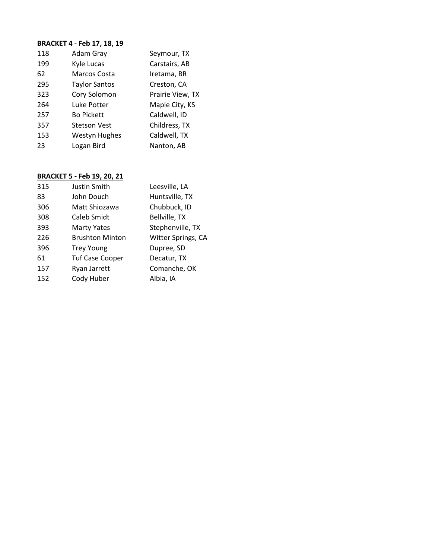| 118 | Adam Gray            | Seymour, TX      |
|-----|----------------------|------------------|
| 199 | Kyle Lucas           | Carstairs, AB    |
| 62  | Marcos Costa         | Iretama, BR      |
| 295 | <b>Taylor Santos</b> | Creston, CA      |
| 323 | Cory Solomon         | Prairie View, TX |
| 264 | Luke Potter          | Maple City, KS   |
| 257 | <b>Bo Pickett</b>    | Caldwell, ID     |
| 357 | Stetson Vest         | Childress, TX    |
| 153 | <b>Westyn Hughes</b> | Caldwell, TX     |
| 23  | Logan Bird           | Nanton, AB       |
|     |                      |                  |

| 315 | Justin Smith           | Leesville, LA      |
|-----|------------------------|--------------------|
| 83  | John Douch             | Huntsville, TX     |
| 306 | Matt Shiozawa          | Chubbuck, ID       |
| 308 | Caleb Smidt            | Bellville, TX      |
| 393 | <b>Marty Yates</b>     | Stephenville, TX   |
| 226 | <b>Brushton Minton</b> | Witter Springs, CA |
| 396 | <b>Trey Young</b>      | Dupree, SD         |
| 61  | <b>Tuf Case Cooper</b> | Decatur, TX        |
| 157 | Ryan Jarrett           | Comanche, OK       |
| 152 | Cody Huber             | Albia, IA          |
|     |                        |                    |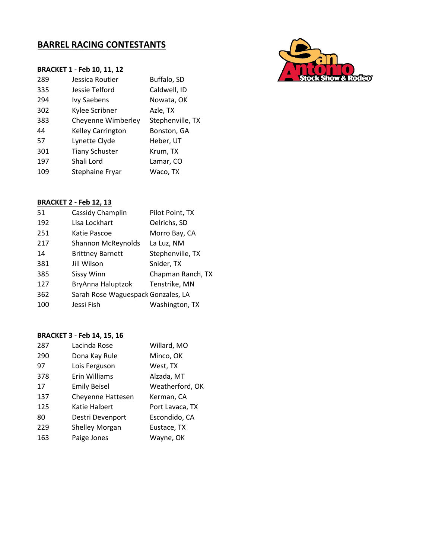## **BARREL RACING CONTESTANTS**



#### **BRACKET 2 - Feb 12, 13**

| 51  | Cassidy Champlin                   | Pilot Point, TX   |
|-----|------------------------------------|-------------------|
| 192 | Lisa Lockhart                      | Oelrichs, SD      |
| 251 | Katie Pascoe                       | Morro Bay, CA     |
| 217 | <b>Shannon McReynolds</b>          | La Luz, NM        |
| 14  | <b>Brittney Barnett</b>            | Stephenville, TX  |
| 381 | Jill Wilson                        | Snider, TX        |
| 385 | <b>Sissy Winn</b>                  | Chapman Ranch, TX |
| 127 | BryAnna Haluptzok                  | Tenstrike, MN     |
| 362 | Sarah Rose Waguespack Gonzales, LA |                   |
| 100 | Jessi Fish                         | Washington, TX    |

| 287 | Lacinda Rose             | Willard, MO     |
|-----|--------------------------|-----------------|
| 290 | Dona Kay Rule            | Minco, OK       |
| 97  | Lois Ferguson            | West, TX        |
| 378 | Erin Williams            | Alzada, MT      |
| 17  | <b>Emily Beisel</b>      | Weatherford, OK |
| 137 | <b>Cheyenne Hattesen</b> | Kerman, CA      |
| 125 | Katie Halbert            | Port Lavaca, TX |
| 80  | Destri Devenport         | Escondido, CA   |
| 229 | Shelley Morgan           | Eustace, TX     |
| 163 | Paige Jones              | Wayne, OK       |

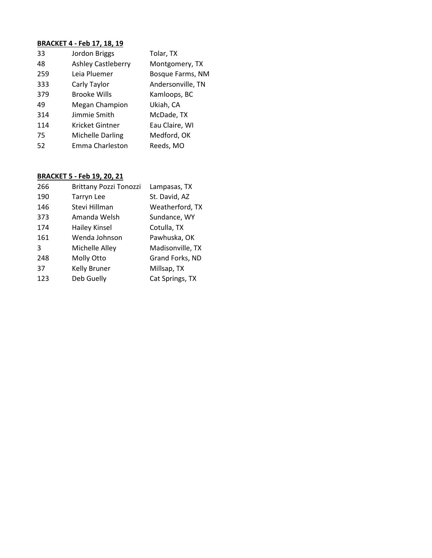| 33  | Jordon Briggs             | Tolar, TX         |
|-----|---------------------------|-------------------|
| 48  | <b>Ashley Castleberry</b> | Montgomery, TX    |
| 259 | Leia Pluemer              | Bosque Farms, NM  |
| 333 | Carly Taylor              | Andersonville, TN |
| 379 | <b>Brooke Wills</b>       | Kamloops, BC      |
| 49  | Megan Champion            | Ukiah, CA         |
| 314 | Jimmie Smith              | McDade, TX        |
| 114 | Kricket Gintner           | Eau Claire, WI    |
| 75  | Michelle Darling          | Medford, OK       |
| 52  | Emma Charleston           | Reeds, MO         |

| 266 | <b>Brittany Pozzi Tonozzi</b> | Lampasas, TX     |
|-----|-------------------------------|------------------|
| 190 | <b>Tarryn Lee</b>             | St. David, AZ    |
| 146 | Stevi Hillman                 | Weatherford, TX  |
| 373 | Amanda Welsh                  | Sundance, WY     |
| 174 | <b>Hailey Kinsel</b>          | Cotulla, TX      |
| 161 | Wenda Johnson                 | Pawhuska, OK     |
| 3   | Michelle Alley                | Madisonville, TX |
| 248 | Molly Otto                    | Grand Forks, ND  |
| 37  | Kelly Bruner                  | Millsap, TX      |
| 123 | Deb Guelly                    | Cat Springs, TX  |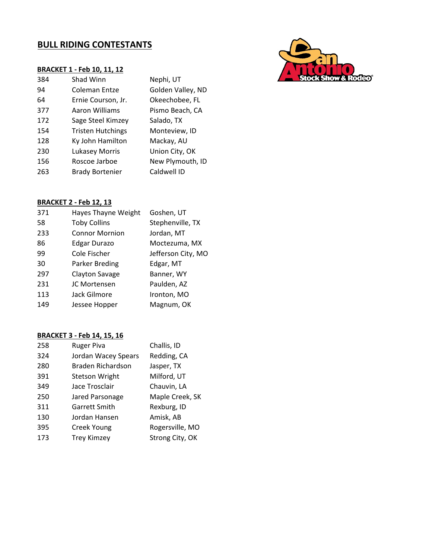# **BULL RIDING CONTESTANTS**

#### **BRACKET 1 - Feb 10, 11, 12**

| 384 | Shad Winn                | Nephi, UT         |
|-----|--------------------------|-------------------|
| 94  | Coleman Entze            | Golden Valley, ND |
| 64  | Ernie Courson, Jr.       | Okeechobee, FL    |
| 377 | Aaron Williams           | Pismo Beach, CA   |
| 172 | Sage Steel Kimzey        | Salado, TX        |
| 154 | <b>Tristen Hutchings</b> | Monteview, ID     |
| 128 | Ky John Hamilton         | Mackay, AU        |
| 230 | <b>Lukasey Morris</b>    | Union City, OK    |
| 156 | Roscoe Jarboe            | New Plymouth, ID  |
| 263 | <b>Brady Bortenier</b>   | Caldwell ID       |

#### **BRACKET 2 - Feb 12, 13**

| Goshen, UT         |
|--------------------|
| Stephenville, TX   |
| Jordan, MT         |
| Moctezuma, MX      |
| Jefferson City, MO |
| Edgar, MT          |
| Banner, WY         |
| Paulden, AZ        |
| Ironton, MO        |
| Magnum, OK         |
|                    |

| 258 | <b>Ruger Piva</b>        | Challis, ID     |
|-----|--------------------------|-----------------|
| 324 | Jordan Wacey Spears      | Redding, CA     |
| 280 | <b>Braden Richardson</b> | Jasper, TX      |
| 391 | <b>Stetson Wright</b>    | Milford, UT     |
| 349 | Jace Trosclair           | Chauvin, LA     |
| 250 | Jared Parsonage          | Maple Creek, SK |
| 311 | <b>Garrett Smith</b>     | Rexburg, ID     |
| 130 | Jordan Hansen            | Amisk, AB       |
| 395 | Creek Young              | Rogersville, MO |
| 173 | <b>Trey Kimzey</b>       | Strong City, OK |